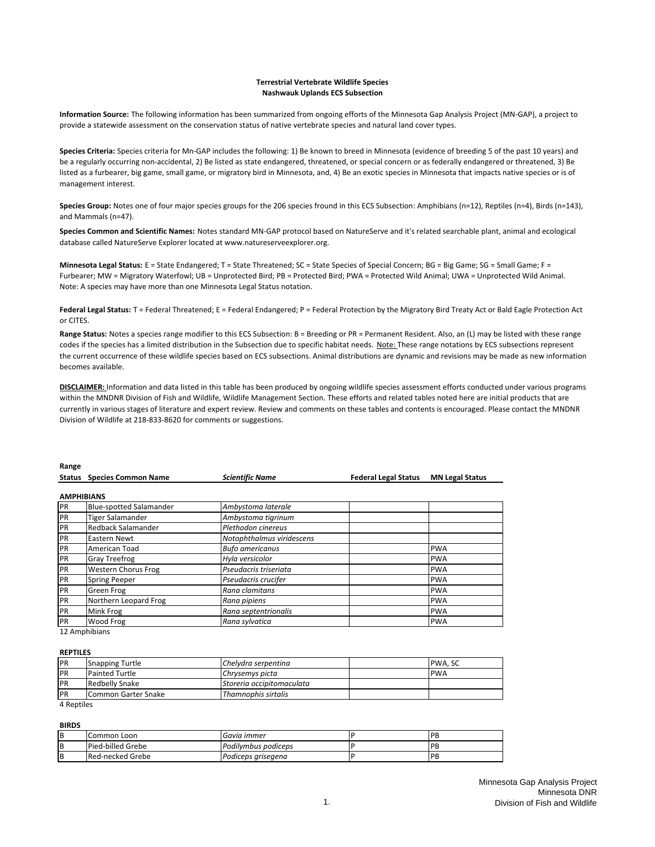#### **Terrestrial Vertebrate Wildlife Species Nashwauk Uplands ECS Subsection**

**Information Source:** The following information has been summarized from ongoing efforts of the Minnesota Gap Analysis Project (MN‐GAP), a project to provide a statewide assessment on the conservation status of native vertebrate species and natural land cover types.

**Species Criteria:** Species criteria for Mn‐GAP includes the following: 1) Be known to breed in Minnesota (evidence of breeding 5 of the past 10 years) and be a regularly occurring non-accidental, 2) Be listed as state endangered, threatened, or special concern or as federally endangered or threatened, 3) Be listed as a furbearer, big game, small game, or migratory bird in Minnesota, and, 4) Be an exotic species in Minnesota that impacts native species or is of management interest.

**Species Group:** Notes one of four major species groups for the 206 species fround in this ECS Subsection: Amphibians (n=12), Reptiles (n=4), Birds (n=143), and Mammals (n=47).

**Species Common and Scientific Names:** Notes standard MN‐GAP protocol based on NatureServe and it's related searchable plant, animal and ecological database called NatureServe Explorer located at www.natureserveexplorer.org.

Minnesota Legal Status: E = State Endangered; T = State Threatened; SC = State Species of Special Concern; BG = Big Game; SG = Small Game; F = Furbearer; MW = Migratory Waterfowl; UB = Unprotected Bird; PB = Protected Bird; PWA = Protected Wild Animal; UWA = Unprotected Wild Animal. Note: A species may have more than one Minnesota Legal Status notation.

Federal Legal Status: T = Federal Threatened; E = Federal Endangered; P = Federal Protection by the Migratory Bird Treaty Act or Bald Eagle Protection Act or CITES.

**Range Status:** Notes a species range modifier to this ECS Subsection: B = Breeding or PR = Permanent Resident. Also, an (L) may be listed with these range codes if the species has a limited distribution in the Subsection due to specific habitat needs. Note: These range notations by ECS subsections represent the current occurrence of these wildlife species based on ECS subsections. Animal distributions are dynamic and revisions may be made as new information becomes available.

**DISCLAIMER:** Information and data listed in this table has been produced by ongoing wildlife species assessment efforts conducted under various programs within the MNDNR Division of Fish and Wildlife, Wildlife Management Section. These efforts and related tables noted here are initial products that are currently in various stages of literature and expert review. Review and comments on these tables and contents is encouraged. Please contact the MNDNR Division of Wildlife at 218‐833‐8620 for comments or suggestions.

| παιικς            |                                |                           |                             |                        |
|-------------------|--------------------------------|---------------------------|-----------------------------|------------------------|
| <b>Status</b>     | <b>Species Common Name</b>     | <b>Scientific Name</b>    | <b>Federal Legal Status</b> | <b>MN Legal Status</b> |
|                   |                                |                           |                             |                        |
| <b>AMPHIBIANS</b> |                                |                           |                             |                        |
| PR                | <b>Blue-spotted Salamander</b> | Ambystoma laterale        |                             |                        |
| PR                | <b>Tiger Salamander</b>        | Ambystoma tigrinum        |                             |                        |
| PR                | Redback Salamander             | Plethodon cinereus        |                             |                        |
| PR                | Eastern Newt                   | Notophthalmus viridescens |                             |                        |
| PR                | American Toad                  | <b>Bufo americanus</b>    |                             | <b>PWA</b>             |
| PR                | <b>Gray Treefrog</b>           | Hyla versicolor           |                             | <b>PWA</b>             |
| PR                | <b>Western Chorus Frog</b>     | Pseudacris triseriata     |                             | <b>PWA</b>             |
| PR                | <b>Spring Peeper</b>           | Pseudacris crucifer       |                             | <b>PWA</b>             |
| PR                | Green Frog                     | Rana clamitans            |                             | <b>PWA</b>             |
| PR                | Northern Leopard Frog          | Rana pipiens              |                             | <b>PWA</b>             |
| PR                | Mink Frog                      | Rana septentrionalis      |                             | <b>PWA</b>             |
| PR                | Wood Frog                      | Rana sylvatica            |                             | <b>PWA</b>             |
|                   |                                |                           |                             |                        |

12 Amphibians

#### **REPTILES**

**Range**

| <b>PR</b> | <b>Snapping Turtle</b> | Chelydra serpentina       | <b>PWA.SC</b> |
|-----------|------------------------|---------------------------|---------------|
| <b>PR</b> | <b>Painted Turtle</b>  | Chrysemys picta           | <b>IPWA</b>   |
| PR        | Redbelly Snake         | Storeria occipitomaculata |               |
| <b>PR</b> | Common Garter Snake    | Thamnophis sirtalis       |               |

4 Reptiles

#### **BIRDS**

| B | ICommon Loon            | Gavia immer         | <b>IPF</b> |
|---|-------------------------|---------------------|------------|
| B | Pied-billed Grebe       | Podilymbus podiceps | IPF        |
| B | <b>Red-necked Grebe</b> | Podiceps ariseaena  | IPB        |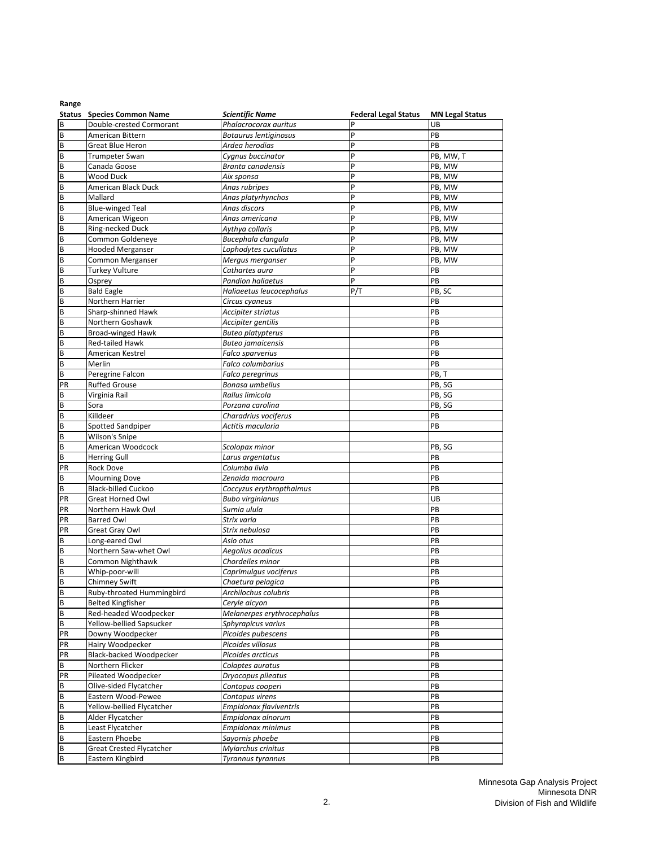|         | <b>Status</b> Species Common Name | <b>Scientific Name</b>            | <b>Federal Legal Status</b> | <b>MN Legal Status</b> |
|---------|-----------------------------------|-----------------------------------|-----------------------------|------------------------|
| B       | Double-crested Cormorant          | Phalacrocorax auritus             | p                           | UB                     |
| В       | American Bittern                  | Botaurus lentiginosus             | P                           | PB                     |
| B       | Great Blue Heron                  | Ardea herodias                    | P                           | PB                     |
| B       | <b>Trumpeter Swan</b>             | Cygnus buccinator                 | P                           | PB, MW, T              |
| В       | Canada Goose                      | Branta canadensis                 | P                           | PB, MW                 |
| B       | Wood Duck                         | Aix sponsa                        | P                           | PB, MW                 |
| B       | American Black Duck               | Anas rubripes                     | P                           | PB, MW                 |
| B       | Mallard                           | Anas platyrhynchos                | p                           | PB, MW                 |
| B       | <b>Blue-winged Teal</b>           | Anas discors                      | P                           | PB, MW                 |
| B       | American Wigeon                   | Anas americana                    | P                           | PB, MW                 |
| B       | Ring-necked Duck                  | Aythya collaris                   | P                           | PB, MW                 |
| B       | Common Goldeneye                  | Bucephala clangula                | P                           | PB, MW                 |
| B       | <b>Hooded Merganser</b>           | Lophodytes cucullatus             | P                           | PB, MW                 |
| B       | Common Merganser                  | Mergus merganser                  | P                           | PB, MW                 |
| B       | <b>Turkey Vulture</b>             | Cathartes aura                    | P                           | PB                     |
| B       | Osprey                            | <b>Pandion haliaetus</b>          | p                           | PB                     |
| B       | <b>Bald Eagle</b>                 | Haliaeetus leucocephalus          | P/T                         | PB, SC                 |
| B       | Northern Harrier                  | Circus cyaneus                    |                             | PB                     |
| В       | Sharp-shinned Hawk                | Accipiter striatus                |                             | PB                     |
| В       | Northern Goshawk                  | Accipiter gentilis                |                             | PB                     |
| В       | <b>Broad-winged Hawk</b>          | <b>Buteo platypterus</b>          |                             | PB                     |
| В       | <b>Red-tailed Hawk</b>            | <b>Buteo jamaicensis</b>          |                             | PB                     |
| В       | American Kestrel                  | Falco sparverius                  |                             | PB                     |
| B       | Merlin                            | Falco columbarius                 |                             | PB                     |
| В       | Peregrine Falcon                  | Falco peregrinus                  |                             | PB, T                  |
| PR      | <b>Ruffed Grouse</b>              | Bonasa umbellus                   |                             | PB, SG                 |
| В       | Virginia Rail                     | Rallus limicola                   |                             | PB, SG                 |
| В       | Sora                              | Porzana carolina                  |                             | PB, SG                 |
| B       | Killdeer                          | Charadrius vociferus              |                             | PB                     |
| В       | Spotted Sandpiper                 | Actitis macularia                 |                             | PB                     |
| В<br>B  | Wilson's Snipe                    |                                   |                             |                        |
| B       | American Woodcock                 | Scolopax minor                    |                             | PB, SG<br>PB           |
| PR      | <b>Herring Gull</b><br>Rock Dove  | Larus argentatus<br>Columba livia |                             | PB                     |
| B       | <b>Mourning Dove</b>              | Zenaida macroura                  |                             | PB                     |
| В       | Black-billed Cuckoo               | Coccyzus erythropthalmus          |                             | PB                     |
| PR      | <b>Great Horned Owl</b>           | <b>Bubo virginianus</b>           |                             | UB                     |
| PR      | Northern Hawk Owl                 | Surnia ulula                      |                             | PB                     |
| PR      | <b>Barred Owl</b>                 | Strix varia                       |                             | PB                     |
| PR      | Great Gray Owl                    | Strix nebulosa                    |                             | PB                     |
| В       | Long-eared Owl                    | Asio otus                         |                             | PB                     |
| B       | Northern Saw-whet Owl             | Aegolius acadicus                 |                             | PB                     |
| B       | Common Nighthawk                  | Chordeiles minor                  |                             | PB                     |
| В       | Whip-poor-will                    | Caprimulgus vociferus             |                             | PB                     |
| В       | <b>Chimney Swift</b>              | Chaetura pelagica                 |                             | PB                     |
| B       | Ruby-throated Hummingbird         | Archilochus colubris              |                             | PB                     |
| B       | <b>Belted Kingfisher</b>          | Ceryle alcyon                     |                             | PB                     |
| В       | Red-headed Woodpecker             | Melanerpes erythrocephalus        |                             | PB                     |
| В       | Yellow-bellied Sapsucker          | Sphyrapicus varius                |                             | PB                     |
| PR      | Downy Woodpecker                  | Picoides pubescens                |                             | PB                     |
| PR      | Hairy Woodpecker                  | Picoides villosus                 |                             | PB                     |
| PR      | Black-backed Woodpecker           | Picoides arcticus                 |                             | PB                     |
| В       | Northern Flicker                  | Colaptes auratus                  |                             | PB                     |
| PR      | Pileated Woodpecker               | Dryocopus pileatus                |                             | PB                     |
| В       | Olive-sided Flycatcher            | Contopus cooperi                  |                             | PB                     |
| B       | Eastern Wood-Pewee                | Contopus virens                   |                             | PB                     |
| $\sf B$ | Yellow-bellied Flycatcher         | Empidonax flaviventris            |                             | PB                     |
| B       | Alder Flycatcher                  | Empidonax alnorum                 |                             | PB                     |
| B       | Least Flycatcher                  | Empidonax minimus                 |                             | PB                     |
| B       | Eastern Phoebe                    | Sayornis phoebe                   |                             | PB                     |
| $\sf B$ | <b>Great Crested Flycatcher</b>   | Myiarchus crinitus                |                             | PB                     |
| B       | Eastern Kingbird                  | Tyrannus tyrannus                 |                             | PB                     |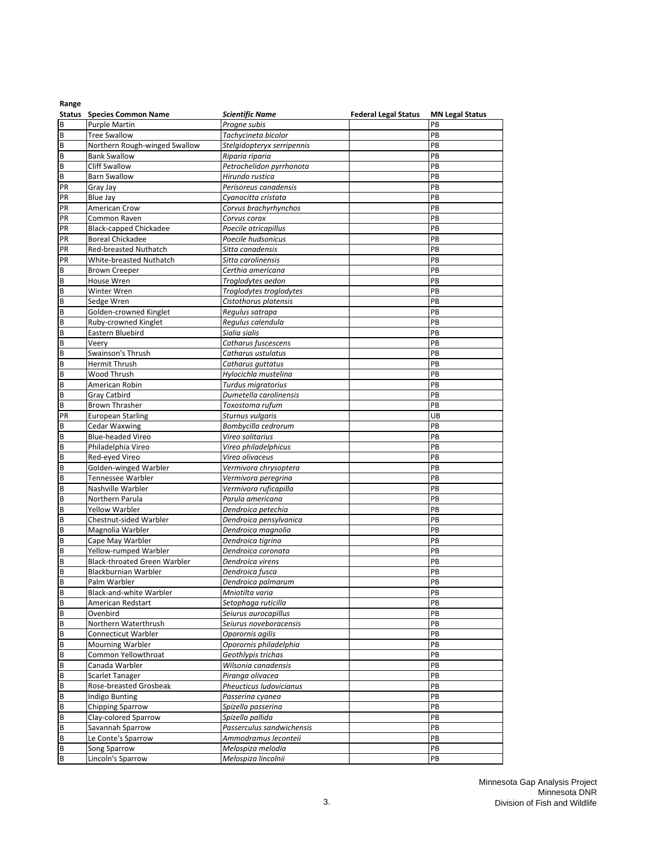|          | <b>Status</b> Species Common Name | <b>Scientific Name</b>                      | <b>Federal Legal Status</b> | <b>MN Legal Status</b> |
|----------|-----------------------------------|---------------------------------------------|-----------------------------|------------------------|
| B        | <b>Purple Martin</b>              | Progne subis                                |                             | PB                     |
| В        | <b>Tree Swallow</b>               | Tachycineta bicolor                         |                             | PB                     |
| B        | Northern Rough-winged Swallow     | Stelgidopteryx serripennis                  |                             | PB                     |
| В        | <b>Bank Swallow</b>               | Riparia riparia                             |                             | PB                     |
| В        | <b>Cliff Swallow</b>              | Petrochelidon pyrrhonota                    |                             | PB                     |
| B        | <b>Barn Swallow</b>               | Hirundo rustica                             |                             | PB                     |
|          |                                   |                                             |                             |                        |
| PR       | Gray Jay                          | Perisoreus canadensis                       |                             | PB                     |
| PR       | <b>Blue Jay</b>                   | Cyanocitta cristata                         |                             | PB                     |
| PR       | American Crow                     | Corvus brachyrhynchos                       |                             | PB                     |
| PR       | Common Raven                      | Corvus corax                                |                             | PB                     |
| PR       | <b>Black-capped Chickadee</b>     | Poecile atricapillus                        |                             | PB                     |
| PR       | <b>Boreal Chickadee</b>           | Poecile hudsonicus                          |                             | PB                     |
| PR       | <b>Red-breasted Nuthatch</b>      | Sitta canadensis                            |                             | PB                     |
| PR       | White-breasted Nuthatch           | Sitta carolinensis                          |                             | PB                     |
| B        | <b>Brown Creeper</b>              | Certhia americana                           |                             | PB                     |
| B        | House Wren                        | Troglodytes aedon                           |                             | PB                     |
| В        | Winter Wren                       | Troglodytes troglodytes                     |                             | PB                     |
| B        | Sedge Wren                        | Cistothorus platensis                       |                             | PB                     |
| В        | Golden-crowned Kinglet            | Regulus satrapa                             |                             | PB                     |
|          |                                   | Regulus calendula                           |                             | PB                     |
| В        | Ruby-crowned Kinglet              |                                             |                             | PB                     |
| B        | Eastern Bluebird                  | Sialia sialis                               |                             |                        |
| В        | Veery                             | Catharus fuscescens                         |                             | PB                     |
| В        | Swainson's Thrush                 | Catharus ustulatus                          |                             | PB                     |
| B        | Hermit Thrush                     | Catharus guttatus                           |                             | PB                     |
| В        | Wood Thrush                       | Hylocichla mustelina                        |                             | PB                     |
| В        | American Robin                    | Turdus migratorius                          |                             | PB                     |
| В        | Gray Catbird                      | Dumetella carolinensis                      |                             | PB                     |
| В        | <b>Brown Thrasher</b>             | Toxostoma rufum                             |                             | PB                     |
| PR       | <b>European Starling</b>          | Sturnus vulgaris                            |                             | UB                     |
| В        | <b>Cedar Waxwing</b>              | Bombycilla cedrorum                         |                             | PB                     |
| В        | Blue-headed Vireo                 | Vireo solitarius                            |                             | PB                     |
| B        | Philadelphia Vireo                | Vireo philadelphicus                        |                             | PB                     |
|          |                                   |                                             |                             |                        |
| B        | Red-eyed Vireo                    | Vireo olivaceus                             |                             | PB<br>PB               |
| B        | Golden-winged Warbler             | Vermivora chrysoptera                       |                             |                        |
| B        | Tennessee Warbler                 | Vermivora peregrina                         |                             | PB                     |
| B        | Nashville Warbler                 | Vermivora ruficapilla                       |                             | PB                     |
| B        | Northern Parula                   | Parula americana                            |                             | PB                     |
| В        | <b>Yellow Warbler</b>             | Dendroica petechia                          |                             | PB                     |
| B        | Chestnut-sided Warbler            | Dendroica pensylvanica                      |                             | PB                     |
| B        | Magnolia Warbler                  | Dendroica magnolia                          |                             | PB                     |
| В        | Cape May Warbler                  | Dendroica tigrina                           |                             | PB                     |
| B        | Yellow-rumped Warbler             | Dendroica coronata                          |                             | PB                     |
| B        | Black-throated Green Warbler      | Dendroica virens                            |                             | PB                     |
| В        | Blackburnian Warbler              | Dendroica fusca                             |                             | PB                     |
| В        | Palm Warbler                      | Dendroica palmarum                          |                             | PB                     |
| ΙB       | Black-and-white Warbler           | Mniotilta varia                             |                             | ļРB                    |
| $\sf B$  |                                   |                                             |                             | PB                     |
| $\sf{B}$ | American Redstart<br>Ovenbird     | Setophaga ruticilla<br>Seiurus aurocapillus |                             | PB                     |
|          |                                   |                                             |                             |                        |
| В        | Northern Waterthrush              | Seiurus noveboracensis                      |                             | PB                     |
| B        | Connecticut Warbler               | Oporornis agilis                            |                             | PB                     |
| B        | Mourning Warbler                  | Oporornis philadelphia                      |                             | PB                     |
| В        | Common Yellowthroat               | Geothlypis trichas                          |                             | PB                     |
| B        | Canada Warbler                    | Wilsonia canadensis                         |                             | PB                     |
| В        | Scarlet Tanager                   | Piranga olivacea                            |                             | PB                     |
| B        | Rose-breasted Grosbeak            | Pheucticus Iudovicianus                     |                             | PB                     |
| B        | Indigo Bunting                    | Passerina cyanea                            |                             | PB                     |
| В        | <b>Chipping Sparrow</b>           | Spizella passerina                          |                             | PB                     |
| B        | Clay-colored Sparrow              | Spizella pallida                            |                             | PB                     |
| $\sf{B}$ | Savannah Sparrow                  | Passerculus sandwichensis                   |                             | PB                     |
| B        | Le Conte's Sparrow                | Ammodramus leconteii                        |                             | PB                     |
| B        |                                   |                                             |                             | ${\sf PB}$             |
|          | Song Sparrow                      | Melospiza melodia                           |                             |                        |
| $\sf B$  | Lincoln's Sparrow                 | Melospiza lincolnii                         |                             | PB                     |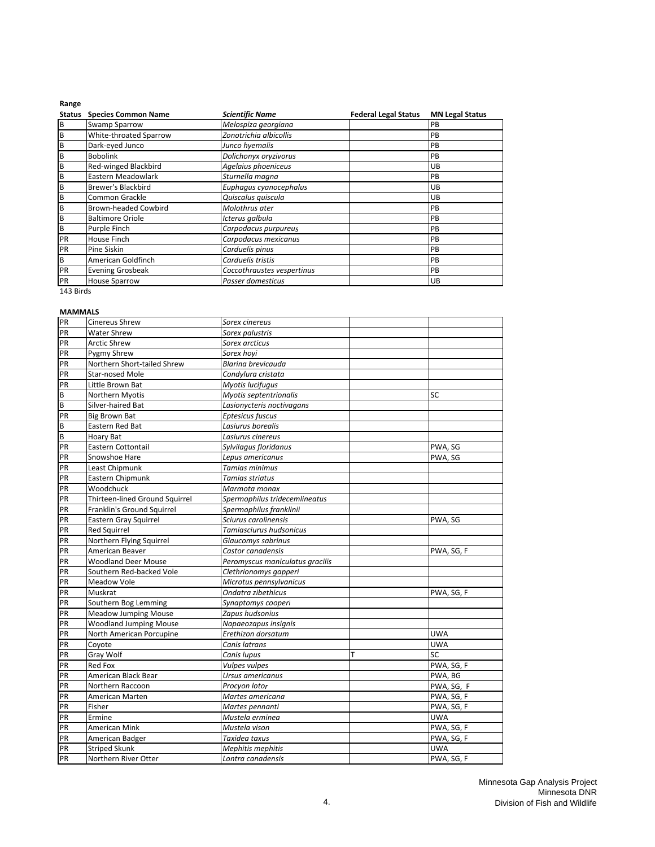| <b>Status</b> | <b>Species Common Name</b>  | <b>Scientific Name</b>     | <b>Federal Legal Status</b> | <b>MN Legal Status</b> |
|---------------|-----------------------------|----------------------------|-----------------------------|------------------------|
| B             | <b>Swamp Sparrow</b>        | Melospiza georgiana        |                             | PB                     |
| B             | White-throated Sparrow      | Zonotrichia albicollis     |                             | PB                     |
| B             | Dark-eyed Junco             | Junco hyemalis             |                             | PB                     |
| B             | <b>Bobolink</b>             | Dolichonyx oryzivorus      |                             | PB                     |
| B             | Red-winged Blackbird        | Agelaius phoeniceus        |                             | <b>UB</b>              |
| B             | Eastern Meadowlark          | Sturnella magna            |                             | PB                     |
| B             | <b>Brewer's Blackbird</b>   | Euphagus cyanocephalus     |                             | <b>UB</b>              |
| B             | Common Grackle              | Quiscalus quiscula         |                             | UB                     |
| B             | <b>Brown-headed Cowbird</b> | Molothrus ater             |                             | PB                     |
| B             | <b>Baltimore Oriole</b>     | Icterus galbula            |                             | PB                     |
| B             | Purple Finch                | Carpodacus purpureus       |                             | PB                     |
| PR            | House Finch                 | Carpodacus mexicanus       |                             | PB                     |
| PR            | Pine Siskin                 | Carduelis pinus            |                             | PB                     |
| B             | American Goldfinch          | Carduelis tristis          |                             | PB                     |
| PR            | <b>Evening Grosbeak</b>     | Coccothraustes vespertinus |                             | PB                     |
| PR            | <b>House Sparrow</b>        | Passer domesticus          |                             | <b>UB</b>              |
| 143 Birds     |                             |                            |                             |                        |

#### **MAMMALS**

| PR       | Cinereus Shrew                 | Sorex cinereus                  |   |            |
|----------|--------------------------------|---------------------------------|---|------------|
| PR       | <b>Water Shrew</b>             | Sorex palustris                 |   |            |
| PR       | <b>Arctic Shrew</b>            | Sorex arcticus                  |   |            |
| PR       | Pygmy Shrew                    | Sorex hoyi                      |   |            |
| PR       | Northern Short-tailed Shrew    | Blarina brevicauda              |   |            |
| PR       | Star-nosed Mole                | Condylura cristata              |   |            |
| PR       | Little Brown Bat               | <b>Myotis lucifugus</b>         |   |            |
| $\sf B$  | Northern Myotis                | Myotis septentrionalis          |   | SC         |
| $\sf{B}$ | Silver-haired Bat              | Lasionycteris noctivagans       |   |            |
| PR       | <b>Big Brown Bat</b>           | Eptesicus fuscus                |   |            |
| $\sf B$  | Eastern Red Bat                | Lasiurus borealis               |   |            |
| $\sf B$  | Hoary Bat                      | Lasiurus cinereus               |   |            |
| PR       | Eastern Cottontail             | Sylvilagus floridanus           |   | PWA, SG    |
| PR       | Snowshoe Hare                  | Lepus americanus                |   | PWA, SG    |
| PR       | Least Chipmunk                 | Tamias minimus                  |   |            |
| PR       | Eastern Chipmunk               | Tamias striatus                 |   |            |
| PR       | Woodchuck                      | Marmota monax                   |   |            |
| PR       | Thirteen-lined Ground Squirrel | Spermophilus tridecemlineatus   |   |            |
| PR       | Franklin's Ground Squirrel     | Spermophilus franklinii         |   |            |
| PR       | Eastern Gray Squirrel          | Sciurus carolinensis            |   | PWA, SG    |
| PR       | <b>Red Squirrel</b>            | Tamiasciurus hudsonicus         |   |            |
| PR       | Northern Flying Squirrel       | Glaucomys sabrinus              |   |            |
| PR       | American Beaver                | Castor canadensis               |   | PWA, SG, F |
| PR       | <b>Woodland Deer Mouse</b>     | Peromyscus maniculatus gracilis |   |            |
| PR       | Southern Red-backed Vole       | Clethrionomys gapperi           |   |            |
| PR       | Meadow Vole                    | Microtus pennsylvanicus         |   |            |
| PR       | Muskrat                        | Ondatra zibethicus              |   | PWA, SG, F |
| PR       | Southern Bog Lemming           | Synaptomys cooperi              |   |            |
| PR       | <b>Meadow Jumping Mouse</b>    | Zapus hudsonius                 |   |            |
| PR       | <b>Woodland Jumping Mouse</b>  | Napaeozapus insignis            |   |            |
| PR       | North American Porcupine       | Erethizon dorsatum              |   | <b>UWA</b> |
| PR       | Coyote                         | Canis latrans                   |   | <b>UWA</b> |
| PR       | Gray Wolf                      | Canis lupus                     | т | SC         |
| PR       | <b>Red Fox</b>                 | Vulpes vulpes                   |   | PWA, SG, F |
| PR       | American Black Bear            | Ursus americanus                |   | PWA, BG    |
| PR       | Northern Raccoon               | Procyon lotor                   |   | PWA, SG, F |
| PR       | American Marten                | Martes americana                |   | PWA, SG, F |
| PR       | Fisher                         | Martes pennanti                 |   | PWA, SG, F |
| PR       | Ermine                         | Mustela erminea                 |   | <b>UWA</b> |
| PR       | American Mink                  | Mustela vison                   |   | PWA, SG, F |
| PR       | American Badger                | Taxidea taxus                   |   | PWA, SG, F |
| PR       | <b>Striped Skunk</b>           | Mephitis mephitis               |   | UWA        |
| PR       | Northern River Otter           | Lontra canadensis               |   | PWA, SG, F |